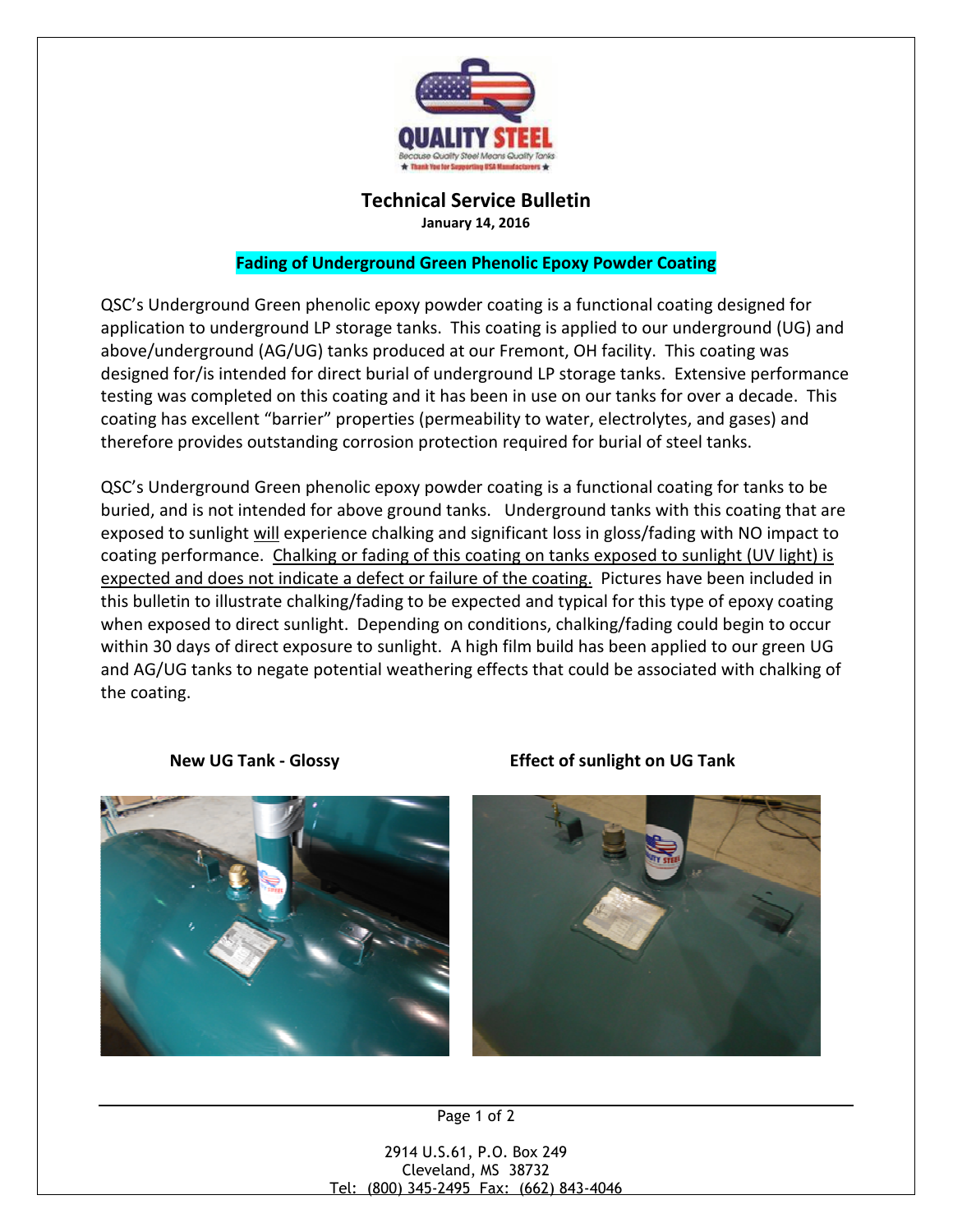

## Technical Service Bulletin

January 14, 2016

## Fading of Underground Green Phenolic Epoxy Powder Coating

QSC's Underground Green phenolic epoxy powder coating is a functional coating designed for application to underground LP storage tanks. This coating is applied to our underground (UG) and above/underground (AG/UG) tanks produced at our Fremont, OH facility. This coating was designed for/is intended for direct burial of underground LP storage tanks. Extensive performance testing was completed on this coating and it has been in use on our tanks for over a decade. This coating has excellent "barrier" properties (permeability to water, electrolytes, and gases) and therefore provides outstanding corrosion protection required for burial of steel tanks.

QSC's Underground Green phenolic epoxy powder coating is a functional coating for tanks to be buried, and is not intended for above ground tanks. Underground tanks with this coating that are exposed to sunlight will experience chalking and significant loss in gloss/fading with NO impact to coating performance. Chalking or fading of this coating on tanks exposed to sunlight (UV light) is expected and does not indicate a defect or failure of the coating. Pictures have been included in this bulletin to illustrate chalking/fading to be expected and typical for this type of epoxy coating when exposed to direct sunlight. Depending on conditions, chalking/fading could begin to occur within 30 days of direct exposure to sunlight. A high film build has been applied to our green UG and AG/UG tanks to negate potential weathering effects that could be associated with chalking of the coating.



New UG Tank - Glossy Effect of sunlight on UG Tank



Page 1 of 2

2914 U.S.61, P.O. Box 249 Cleveland, MS 38732 Tel: (800) 345-2495 Fax: (662) 843-4046